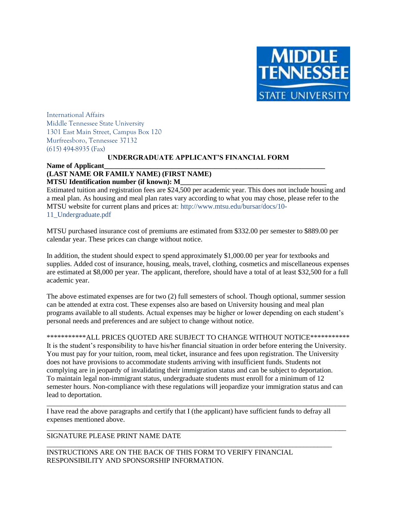

International Affairs Middle Tennessee State University 1301 East Main Street, Campus Box 120 Murfreesboro, Tennessee 37132 (615) 494-8935 (Fax)

#### **UNDERGRADUATE APPLICANT'S FINANCIAL FORM**

Name of Applicant

### **(LAST NAME OR FAMILY NAME) (FIRST NAME) MTSU Identification number (if known): M\_**

Estimated tuition and registration fees are \$24,500 per academic year. This does not include housing and a meal plan. As housing and meal plan rates vary according to what you may chose, please refer to the MTSU website for current plans and prices at: http://www.mtsu.edu/bursar/docs/10- 11\_Undergraduate.pdf

MTSU purchased insurance cost of premiums are estimated from \$332.00 per semester to \$889.00 per calendar year. These prices can change without notice.

In addition, the student should expect to spend approximately \$1,000.00 per year for textbooks and supplies. Added cost of insurance, housing, meals, travel, clothing, cosmetics and miscellaneous expenses are estimated at \$8,000 per year. The applicant, therefore, should have a total of at least \$32,500 for a full academic year.

The above estimated expenses are for two (2) full semesters of school. Though optional, summer session can be attended at extra cost. These expenses also are based on University housing and meal plan programs available to all students. Actual expenses may be higher or lower depending on each student's personal needs and preferences and are subject to change without notice.

\*\*\*\*\*\*\*\*\*\*\*\*ALL PRICES QUOTED ARE SUBJECT TO CHANGE WITHOUT NOTICE\*\*\*\*\*\*\*\*\*\*\*\* It is the student's responsibility to have his/her financial situation in order before entering the University. You must pay for your tuition, room, meal ticket, insurance and fees upon registration. The University does not have provisions to accommodate students arriving with insufficient funds. Students not complying are in jeopardy of invalidating their immigration status and can be subject to deportation. To maintain legal non-immigrant status, undergraduate students must enroll for a minimum of 12 semester hours. Non-compliance with these regulations will jeopardize your immigration status and can lead to deportation.

\_\_\_\_\_\_\_\_\_\_\_\_\_\_\_\_\_\_\_\_\_\_\_\_\_\_\_\_\_\_\_\_\_\_\_\_\_\_\_\_\_\_\_\_\_\_\_\_\_\_\_\_\_\_\_\_\_\_\_\_\_\_\_\_\_\_\_\_\_\_\_\_\_\_\_\_\_\_\_\_\_\_\_\_

\_\_\_\_\_\_\_\_\_\_\_\_\_\_\_\_\_\_\_\_\_\_\_\_\_\_\_\_\_\_\_\_\_\_\_\_\_\_\_\_\_\_\_\_\_\_\_\_\_\_\_\_\_\_\_\_\_\_\_\_\_\_\_\_\_\_\_\_\_\_\_\_\_\_\_\_\_\_\_\_\_\_\_\_

I have read the above paragraphs and certify that I (the applicant) have sufficient funds to defray all expenses mentioned above.

\_\_\_\_\_\_\_\_\_\_\_\_\_\_\_\_\_\_\_\_\_\_\_\_\_\_\_\_\_\_\_\_\_\_\_\_\_\_\_\_\_\_\_\_\_\_\_\_\_\_\_\_\_\_\_\_\_\_\_\_\_\_\_\_\_\_\_\_\_\_\_\_\_\_\_\_\_\_\_\_

### SIGNATURE PLEASE PRINT NAME DATE

INSTRUCTIONS ARE ON THE BACK OF THIS FORM TO VERIFY FINANCIAL RESPONSIBILITY AND SPONSORSHIP INFORMATION.